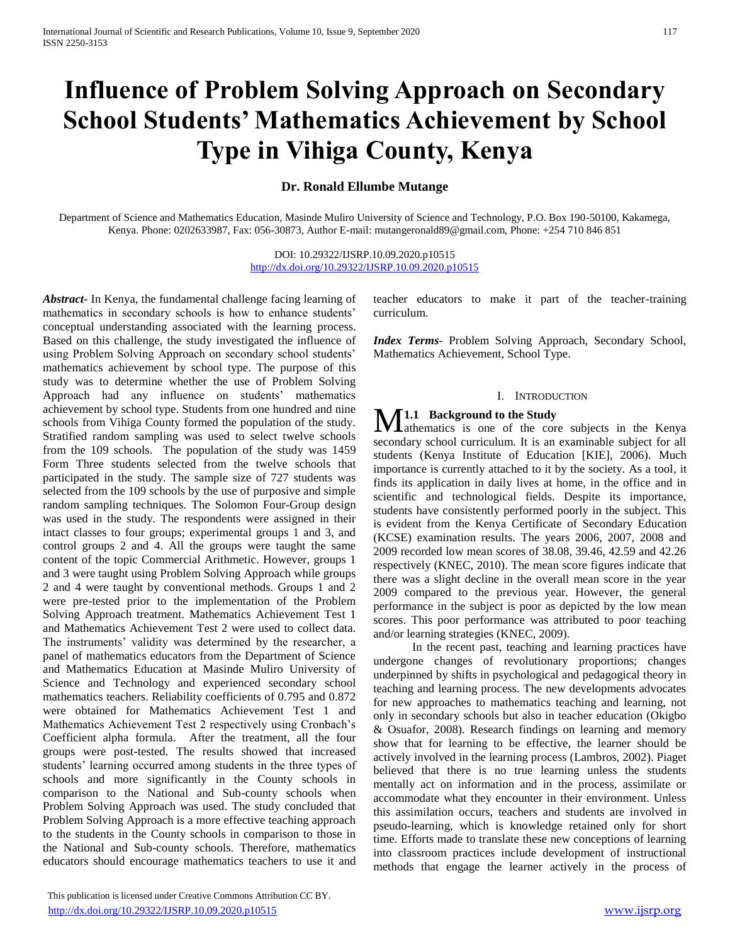# **Influence of Problem Solving Approach on Secondary School Students' Mathematics Achievement by School Type in Vihiga County, Kenya**

# **Dr. Ronald Ellumbe Mutange**

Department of Science and Mathematics Education, Masinde Muliro University of Science and Technology, P.O. Box 190-50100, Kakamega, Kenya. Phone: 0202633987, Fax: 056-30873, Author E-mail: mutangeronald89@gmail.com, Phone: +254 710 846 851

> DOI: 10.29322/IJSRP.10.09.2020.p10515 <http://dx.doi.org/10.29322/IJSRP.10.09.2020.p10515>

*Abstract***-** In Kenya, the fundamental challenge facing learning of mathematics in secondary schools is how to enhance students' conceptual understanding associated with the learning process. Based on this challenge, the study investigated the influence of using Problem Solving Approach on secondary school students' mathematics achievement by school type. The purpose of this study was to determine whether the use of Problem Solving Approach had any influence on students' mathematics achievement by school type. Students from one hundred and nine schools from Vihiga County formed the population of the study. Stratified random sampling was used to select twelve schools from the 109 schools. The population of the study was 1459 Form Three students selected from the twelve schools that participated in the study. The sample size of 727 students was selected from the 109 schools by the use of purposive and simple random sampling techniques. The Solomon Four-Group design was used in the study. The respondents were assigned in their intact classes to four groups; experimental groups 1 and 3, and control groups 2 and 4. All the groups were taught the same content of the topic Commercial Arithmetic. However, groups 1 and 3 were taught using Problem Solving Approach while groups 2 and 4 were taught by conventional methods. Groups 1 and 2 were pre-tested prior to the implementation of the Problem Solving Approach treatment. Mathematics Achievement Test 1 and Mathematics Achievement Test 2 were used to collect data. The instruments' validity was determined by the researcher, a panel of mathematics educators from the Department of Science and Mathematics Education at Masinde Muliro University of Science and Technology and experienced secondary school mathematics teachers. Reliability coefficients of 0.795 and 0.872 were obtained for Mathematics Achievement Test 1 and Mathematics Achievement Test 2 respectively using Cronbach's Coefficient alpha formula. After the treatment, all the four groups were post-tested. The results showed that increased students' learning occurred among students in the three types of schools and more significantly in the County schools in comparison to the National and Sub-county schools when Problem Solving Approach was used. The study concluded that Problem Solving Approach is a more effective teaching approach to the students in the County schools in comparison to those in the National and Sub-county schools. Therefore, mathematics educators should encourage mathematics teachers to use it and teacher educators to make it part of the teacher-training curriculum.

*Index Terms*- Problem Solving Approach, Secondary School, Mathematics Achievement, School Type.

## I. INTRODUCTION

## **1.1 Background to the Study**

M.1.1 Background to the Study<br>athematics is one of the core subjects in the Kenya secondary school curriculum. It is an examinable subject for all students (Kenya Institute of Education [KIE], 2006). Much importance is currently attached to it by the society. As a tool, it finds its application in daily lives at home, in the office and in scientific and technological fields. Despite its importance, students have consistently performed poorly in the subject. This is evident from the Kenya Certificate of Secondary Education (KCSE) examination results. The years 2006, 2007, 2008 and 2009 recorded low mean scores of 38.08, 39.46, 42.59 and 42.26 respectively (KNEC, 2010). The mean score figures indicate that there was a slight decline in the overall mean score in the year 2009 compared to the previous year. However, the general performance in the subject is poor as depicted by the low mean scores. This poor performance was attributed to poor teaching and/or learning strategies (KNEC, 2009).

 In the recent past, teaching and learning practices have undergone changes of revolutionary proportions; changes underpinned by shifts in psychological and pedagogical theory in teaching and learning process. The new developments advocates for new approaches to mathematics teaching and learning, not only in secondary schools but also in teacher education (Okigbo & Osuafor, 2008). Research findings on learning and memory show that for learning to be effective, the learner should be actively involved in the learning process (Lambros, 2002). Piaget believed that there is no true learning unless the students mentally act on information and in the process, assimilate or accommodate what they encounter in their environment. Unless this assimilation occurs, teachers and students are involved in pseudo-learning, which is knowledge retained only for short time. Efforts made to translate these new conceptions of learning into classroom practices include development of instructional methods that engage the learner actively in the process of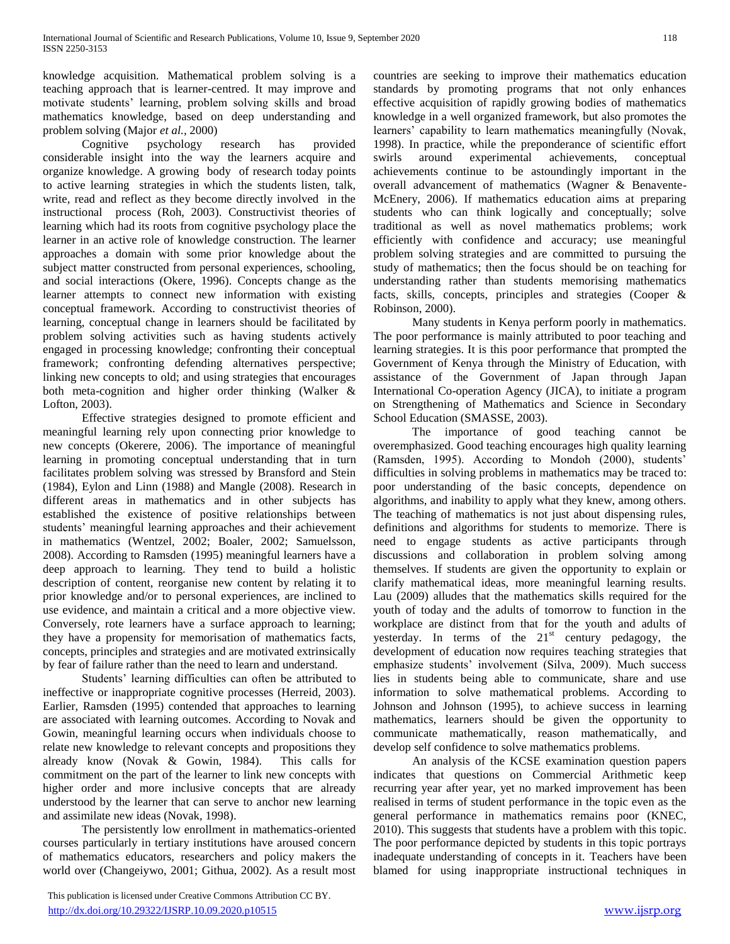knowledge acquisition. Mathematical problem solving is a teaching approach that is learner-centred. It may improve and motivate students' learning, problem solving skills and broad mathematics knowledge, based on deep understanding and problem solving (Major *et al.,* 2000)

 Cognitive psychology research has provided considerable insight into the way the learners acquire and organize knowledge. A growing body of research today points to active learning strategies in which the students listen, talk, write, read and reflect as they become directly involved in the instructional process (Roh, 2003). Constructivist theories of learning which had its roots from cognitive psychology place the learner in an active role of knowledge construction. The learner approaches a domain with some prior knowledge about the subject matter constructed from personal experiences, schooling, and social interactions (Okere, 1996). Concepts change as the learner attempts to connect new information with existing conceptual framework. According to constructivist theories of learning, conceptual change in learners should be facilitated by problem solving activities such as having students actively engaged in processing knowledge; confronting their conceptual framework; confronting defending alternatives perspective; linking new concepts to old; and using strategies that encourages both meta-cognition and higher order thinking (Walker & Lofton, 2003).

 Effective strategies designed to promote efficient and meaningful learning rely upon connecting prior knowledge to new concepts (Okerere, 2006). The importance of meaningful learning in promoting conceptual understanding that in turn facilitates problem solving was stressed by Bransford and Stein (1984), Eylon and Linn (1988) and Mangle (2008). Research in different areas in mathematics and in other subjects has established the existence of positive relationships between students' meaningful learning approaches and their achievement in mathematics (Wentzel, 2002; Boaler, 2002; Samuelsson, 2008). According to Ramsden (1995) meaningful learners have a deep approach to learning. They tend to build a holistic description of content, reorganise new content by relating it to prior knowledge and/or to personal experiences, are inclined to use evidence, and maintain a critical and a more objective view. Conversely, rote learners have a surface approach to learning; they have a propensity for memorisation of mathematics facts, concepts, principles and strategies and are motivated extrinsically by fear of failure rather than the need to learn and understand.

 Students' learning difficulties can often be attributed to ineffective or inappropriate cognitive processes (Herreid, 2003). Earlier, Ramsden (1995) contended that approaches to learning are associated with learning outcomes. According to Novak and Gowin, meaningful learning occurs when individuals choose to relate new knowledge to relevant concepts and propositions they already know (Novak & Gowin, 1984). This calls for commitment on the part of the learner to link new concepts with higher order and more inclusive concepts that are already understood by the learner that can serve to anchor new learning and assimilate new ideas (Novak, 1998).

 The persistently low enrollment in mathematics-oriented courses particularly in tertiary institutions have aroused concern of mathematics educators, researchers and policy makers the world over (Changeiywo, 2001; Githua, 2002). As a result most

 This publication is licensed under Creative Commons Attribution CC BY. <http://dx.doi.org/10.29322/IJSRP.10.09.2020.p10515> [www.ijsrp.org](http://ijsrp.org/)

countries are seeking to improve their mathematics education standards by promoting programs that not only enhances effective acquisition of rapidly growing bodies of mathematics knowledge in a well organized framework, but also promotes the learners' capability to learn mathematics meaningfully (Novak, 1998). In practice, while the preponderance of scientific effort swirls around experimental achievements, conceptual achievements continue to be astoundingly important in the overall advancement of mathematics (Wagner & Benavente-McEnery, 2006). If mathematics education aims at preparing students who can think logically and conceptually; solve traditional as well as novel mathematics problems; work efficiently with confidence and accuracy; use meaningful problem solving strategies and are committed to pursuing the study of mathematics; then the focus should be on teaching for understanding rather than students memorising mathematics facts, skills, concepts, principles and strategies (Cooper & Robinson, 2000).

 Many students in Kenya perform poorly in mathematics. The poor performance is mainly attributed to poor teaching and learning strategies. It is this poor performance that prompted the Government of Kenya through the Ministry of Education, with assistance of the Government of Japan through Japan International Co-operation Agency (JICA), to initiate a program on Strengthening of Mathematics and Science in Secondary School Education (SMASSE, 2003).

 The importance of good teaching cannot be overemphasized. Good teaching encourages high quality learning (Ramsden, 1995). According to Mondoh (2000), students' difficulties in solving problems in mathematics may be traced to: poor understanding of the basic concepts, dependence on algorithms, and inability to apply what they knew, among others. The teaching of mathematics is not just about dispensing rules, definitions and algorithms for students to memorize. There is need to engage students as active participants through discussions and collaboration in problem solving among themselves. If students are given the opportunity to explain or clarify mathematical ideas, more meaningful learning results. Lau (2009) alludes that the mathematics skills required for the youth of today and the adults of tomorrow to function in the workplace are distinct from that for the youth and adults of yesterday. In terms of the  $21<sup>st</sup>$  century pedagogy, the development of education now requires teaching strategies that emphasize students' involvement (Silva, 2009). Much success lies in students being able to communicate, share and use information to solve mathematical problems. According to Johnson and Johnson (1995), to achieve success in learning mathematics, learners should be given the opportunity to communicate mathematically, reason mathematically, and develop self confidence to solve mathematics problems.

 An analysis of the KCSE examination question papers indicates that questions on Commercial Arithmetic keep recurring year after year, yet no marked improvement has been realised in terms of student performance in the topic even as the general performance in mathematics remains poor (KNEC, 2010). This suggests that students have a problem with this topic. The poor performance depicted by students in this topic portrays inadequate understanding of concepts in it. Teachers have been blamed for using inappropriate instructional techniques in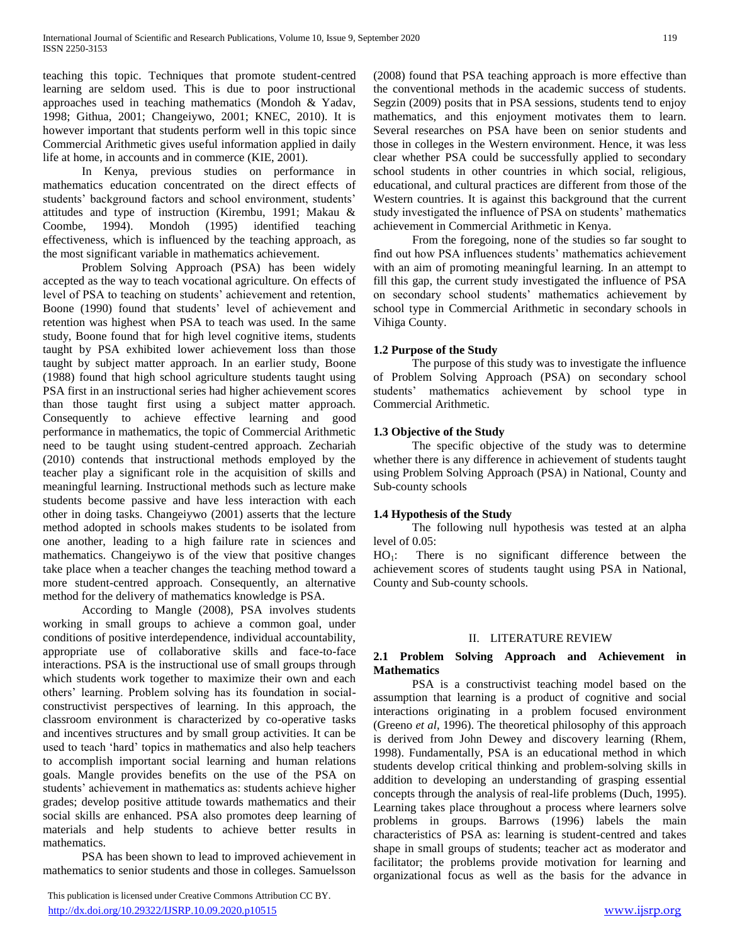teaching this topic. Techniques that promote student-centred learning are seldom used. This is due to poor instructional approaches used in teaching mathematics (Mondoh & Yadav, 1998; Githua, 2001; Changeiywo, 2001; KNEC, 2010). It is however important that students perform well in this topic since Commercial Arithmetic gives useful information applied in daily life at home, in accounts and in commerce (KIE, 2001).

 In Kenya, previous studies on performance in mathematics education concentrated on the direct effects of students' background factors and school environment, students' attitudes and type of instruction (Kirembu, 1991; Makau & Coombe, 1994). Mondoh (1995) identified teaching effectiveness, which is influenced by the teaching approach, as the most significant variable in mathematics achievement.

 Problem Solving Approach (PSA) has been widely accepted as the way to teach vocational agriculture. On effects of level of PSA to teaching on students' achievement and retention, Boone (1990) found that students' level of achievement and retention was highest when PSA to teach was used. In the same study, Boone found that for high level cognitive items, students taught by PSA exhibited lower achievement loss than those taught by subject matter approach. In an earlier study, Boone (1988) found that high school agriculture students taught using PSA first in an instructional series had higher achievement scores than those taught first using a subject matter approach. Consequently to achieve effective learning and good performance in mathematics, the topic of Commercial Arithmetic need to be taught using student-centred approach. Zechariah (2010) contends that instructional methods employed by the teacher play a significant role in the acquisition of skills and meaningful learning. Instructional methods such as lecture make students become passive and have less interaction with each other in doing tasks. Changeiywo (2001) asserts that the lecture method adopted in schools makes students to be isolated from one another, leading to a high failure rate in sciences and mathematics. Changeiywo is of the view that positive changes take place when a teacher changes the teaching method toward a more student-centred approach. Consequently, an alternative method for the delivery of mathematics knowledge is PSA.

 According to Mangle (2008), PSA involves students working in small groups to achieve a common goal, under conditions of positive interdependence, individual accountability, appropriate use of collaborative skills and face-to-face interactions. PSA is the instructional use of small groups through which students work together to maximize their own and each others' learning. Problem solving has its foundation in socialconstructivist perspectives of learning. In this approach, the classroom environment is characterized by co-operative tasks and incentives structures and by small group activities. It can be used to teach 'hard' topics in mathematics and also help teachers to accomplish important social learning and human relations goals. Mangle provides benefits on the use of the PSA on students' achievement in mathematics as: students achieve higher grades; develop positive attitude towards mathematics and their social skills are enhanced. PSA also promotes deep learning of materials and help students to achieve better results in mathematics.

 PSA has been shown to lead to improved achievement in mathematics to senior students and those in colleges. Samuelsson

(2008) found that PSA teaching approach is more effective than the conventional methods in the academic success of students. Segzin (2009) posits that in PSA sessions, students tend to enjoy mathematics, and this enjoyment motivates them to learn. Several researches on PSA have been on senior students and those in colleges in the Western environment. Hence, it was less clear whether PSA could be successfully applied to secondary school students in other countries in which social, religious, educational, and cultural practices are different from those of the Western countries. It is against this background that the current study investigated the influence of PSA on students' mathematics achievement in Commercial Arithmetic in Kenya.

 From the foregoing, none of the studies so far sought to find out how PSA influences students' mathematics achievement with an aim of promoting meaningful learning. In an attempt to fill this gap, the current study investigated the influence of PSA on secondary school students' mathematics achievement by school type in Commercial Arithmetic in secondary schools in Vihiga County.

# **1.2 Purpose of the Study**

 The purpose of this study was to investigate the influence of Problem Solving Approach (PSA) on secondary school students' mathematics achievement by school type in Commercial Arithmetic.

# **1.3 Objective of the Study**

 The specific objective of the study was to determine whether there is any difference in achievement of students taught using Problem Solving Approach (PSA) in National, County and Sub-county schools

# **1.4 Hypothesis of the Study**

 The following null hypothesis was tested at an alpha level of 0.05:

 $HO_1$ : There is no significant difference between the achievement scores of students taught using PSA in National, County and Sub-county schools.

## II. LITERATURE REVIEW

## **2.1 Problem Solving Approach and Achievement in Mathematics**

 PSA is a constructivist teaching model based on the assumption that learning is a product of cognitive and social interactions originating in a problem focused environment (Greeno *et al*, 1996). The theoretical philosophy of this approach is derived from John Dewey and discovery learning (Rhem, 1998). Fundamentally, PSA is an educational method in which students develop critical thinking and problem-solving skills in addition to developing an understanding of grasping essential concepts through the analysis of real-life problems (Duch, 1995). Learning takes place throughout a process where learners solve problems in groups. Barrows (1996) labels the main characteristics of PSA as: learning is student-centred and takes shape in small groups of students; teacher act as moderator and facilitator; the problems provide motivation for learning and organizational focus as well as the basis for the advance in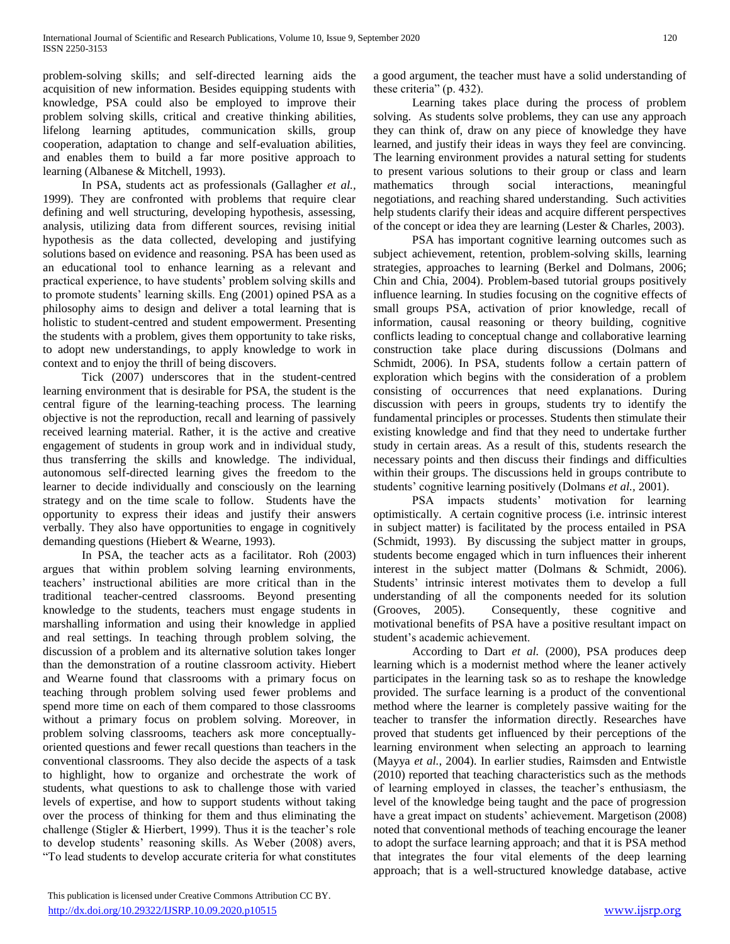problem-solving skills; and self-directed learning aids the acquisition of new information. Besides equipping students with knowledge, PSA could also be employed to improve their problem solving skills, critical and creative thinking abilities, lifelong learning aptitudes, communication skills, group cooperation, adaptation to change and self-evaluation abilities, and enables them to build a far more positive approach to learning (Albanese & Mitchell, 1993).

 In PSA, students act as professionals (Gallagher *et al.,* 1999). They are confronted with problems that require clear defining and well structuring, developing hypothesis, assessing, analysis, utilizing data from different sources, revising initial hypothesis as the data collected, developing and justifying solutions based on evidence and reasoning. PSA has been used as an educational tool to enhance learning as a relevant and practical experience, to have students' problem solving skills and to promote students' learning skills. Eng (2001) opined PSA as a philosophy aims to design and deliver a total learning that is holistic to student-centred and student empowerment. Presenting the students with a problem, gives them opportunity to take risks, to adopt new understandings, to apply knowledge to work in context and to enjoy the thrill of being discovers.

 Tick (2007) underscores that in the student-centred learning environment that is desirable for PSA, the student is the central figure of the learning-teaching process. The learning objective is not the reproduction, recall and learning of passively received learning material. Rather, it is the active and creative engagement of students in group work and in individual study, thus transferring the skills and knowledge. The individual, autonomous self-directed learning gives the freedom to the learner to decide individually and consciously on the learning strategy and on the time scale to follow. Students have the opportunity to express their ideas and justify their answers verbally. They also have opportunities to engage in cognitively demanding questions (Hiebert & Wearne, 1993).

 In PSA, the teacher acts as a facilitator. Roh (2003) argues that within problem solving learning environments, teachers' instructional abilities are more critical than in the traditional teacher-centred classrooms. Beyond presenting knowledge to the students, teachers must engage students in marshalling information and using their knowledge in applied and real settings. In teaching through problem solving, the discussion of a problem and its alternative solution takes longer than the demonstration of a routine classroom activity. Hiebert and Wearne found that classrooms with a primary focus on teaching through problem solving used fewer problems and spend more time on each of them compared to those classrooms without a primary focus on problem solving. Moreover, in problem solving classrooms, teachers ask more conceptuallyoriented questions and fewer recall questions than teachers in the conventional classrooms. They also decide the aspects of a task to highlight, how to organize and orchestrate the work of students, what questions to ask to challenge those with varied levels of expertise, and how to support students without taking over the process of thinking for them and thus eliminating the challenge (Stigler & Hierbert, 1999). Thus it is the teacher's role to develop students' reasoning skills. As Weber (2008) avers, "To lead students to develop accurate criteria for what constitutes a good argument, the teacher must have a solid understanding of these criteria" (p. 432).

 Learning takes place during the process of problem solving. As students solve problems, they can use any approach they can think of, draw on any piece of knowledge they have learned, and justify their ideas in ways they feel are convincing. The learning environment provides a natural setting for students to present various solutions to their group or class and learn mathematics through social interactions, meaningful negotiations, and reaching shared understanding. Such activities help students clarify their ideas and acquire different perspectives of the concept or idea they are learning (Lester & Charles, 2003).

 PSA has important cognitive learning outcomes such as subject achievement, retention, problem-solving skills, learning strategies, approaches to learning (Berkel and Dolmans, 2006; Chin and Chia, 2004). Problem-based tutorial groups positively influence learning. In studies focusing on the cognitive effects of small groups PSA, activation of prior knowledge, recall of information, causal reasoning or theory building, cognitive conflicts leading to conceptual change and collaborative learning construction take place during discussions (Dolmans and Schmidt, 2006). In PSA, students follow a certain pattern of exploration which begins with the consideration of a problem consisting of occurrences that need explanations. During discussion with peers in groups, students try to identify the fundamental principles or processes. Students then stimulate their existing knowledge and find that they need to undertake further study in certain areas. As a result of this, students research the necessary points and then discuss their findings and difficulties within their groups. The discussions held in groups contribute to students' cognitive learning positively (Dolmans *et al.,* 2001).

 PSA impacts students' motivation for learning optimistically. A certain cognitive process (i.e. intrinsic interest in subject matter) is facilitated by the process entailed in PSA (Schmidt, 1993). By discussing the subject matter in groups, students become engaged which in turn influences their inherent interest in the subject matter (Dolmans & Schmidt, 2006). Students' intrinsic interest motivates them to develop a full understanding of all the components needed for its solution (Grooves, 2005). Consequently, these cognitive and motivational benefits of PSA have a positive resultant impact on student's academic achievement.

 According to Dart *et al.* (2000), PSA produces deep learning which is a modernist method where the leaner actively participates in the learning task so as to reshape the knowledge provided. The surface learning is a product of the conventional method where the learner is completely passive waiting for the teacher to transfer the information directly. Researches have proved that students get influenced by their perceptions of the learning environment when selecting an approach to learning (Mayya *et al.*, 2004). In earlier studies, Raimsden and Entwistle (2010) reported that teaching characteristics such as the methods of learning employed in classes, the teacher's enthusiasm, the level of the knowledge being taught and the pace of progression have a great impact on students' achievement. Margetison (2008) noted that conventional methods of teaching encourage the leaner to adopt the surface learning approach; and that it is PSA method that integrates the four vital elements of the deep learning approach; that is a well-structured knowledge database, active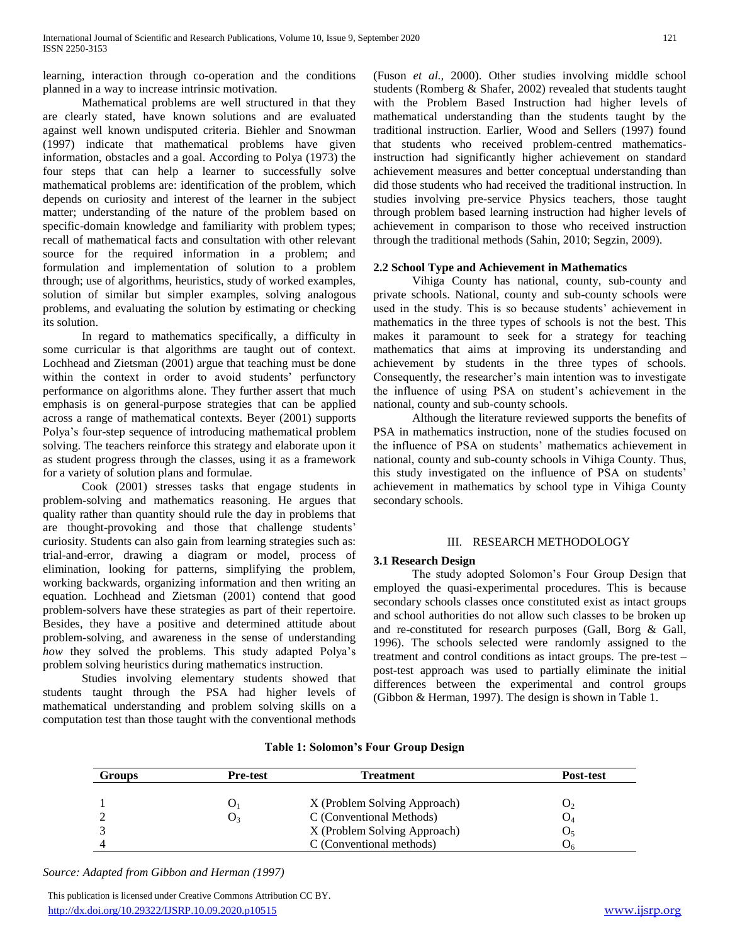learning, interaction through co-operation and the conditions planned in a way to increase intrinsic motivation.

 Mathematical problems are well structured in that they are clearly stated, have known solutions and are evaluated against well known undisputed criteria. Biehler and Snowman (1997) indicate that mathematical problems have given information, obstacles and a goal. According to Polya (1973) the four steps that can help a learner to successfully solve mathematical problems are: identification of the problem, which depends on curiosity and interest of the learner in the subject matter; understanding of the nature of the problem based on specific-domain knowledge and familiarity with problem types; recall of mathematical facts and consultation with other relevant source for the required information in a problem; and formulation and implementation of solution to a problem through; use of algorithms, heuristics, study of worked examples, solution of similar but simpler examples, solving analogous problems, and evaluating the solution by estimating or checking its solution.

 In regard to mathematics specifically, a difficulty in some curricular is that algorithms are taught out of context. Lochhead and Zietsman (2001) argue that teaching must be done within the context in order to avoid students' perfunctory performance on algorithms alone. They further assert that much emphasis is on general-purpose strategies that can be applied across a range of mathematical contexts. Beyer (2001) supports Polya's four-step sequence of introducing mathematical problem solving. The teachers reinforce this strategy and elaborate upon it as student progress through the classes, using it as a framework for a variety of solution plans and formulae.

 Cook (2001) stresses tasks that engage students in problem-solving and mathematics reasoning. He argues that quality rather than quantity should rule the day in problems that are thought-provoking and those that challenge students' curiosity. Students can also gain from learning strategies such as: trial-and-error, drawing a diagram or model, process of elimination, looking for patterns, simplifying the problem, working backwards, organizing information and then writing an equation. Lochhead and Zietsman (2001) contend that good problem-solvers have these strategies as part of their repertoire. Besides, they have a positive and determined attitude about problem-solving, and awareness in the sense of understanding *how* they solved the problems. This study adapted Polya's problem solving heuristics during mathematics instruction.

 Studies involving elementary students showed that students taught through the PSA had higher levels of mathematical understanding and problem solving skills on a computation test than those taught with the conventional methods

(Fuson *et al.,* 2000). Other studies involving middle school students (Romberg & Shafer, 2002) revealed that students taught with the Problem Based Instruction had higher levels of mathematical understanding than the students taught by the traditional instruction. Earlier, Wood and Sellers (1997) found that students who received problem-centred mathematicsinstruction had significantly higher achievement on standard achievement measures and better conceptual understanding than did those students who had received the traditional instruction. In studies involving pre-service Physics teachers, those taught through problem based learning instruction had higher levels of achievement in comparison to those who received instruction through the traditional methods (Sahin, 2010; Segzin, 2009).

## **2.2 School Type and Achievement in Mathematics**

 Vihiga County has national, county, sub-county and private schools. National, county and sub-county schools were used in the study. This is so because students' achievement in mathematics in the three types of schools is not the best. This makes it paramount to seek for a strategy for teaching mathematics that aims at improving its understanding and achievement by students in the three types of schools. Consequently, the researcher's main intention was to investigate the influence of using PSA on student's achievement in the national, county and sub-county schools.

 Although the literature reviewed supports the benefits of PSA in mathematics instruction, none of the studies focused on the influence of PSA on students' mathematics achievement in national, county and sub-county schools in Vihiga County. Thus, this study investigated on the influence of PSA on students' achievement in mathematics by school type in Vihiga County secondary schools.

## III. RESEARCH METHODOLOGY

# **3.1 Research Design**

 The study adopted Solomon's Four Group Design that employed the quasi-experimental procedures. This is because secondary schools classes once constituted exist as intact groups and school authorities do not allow such classes to be broken up and re-constituted for research purposes (Gall, Borg & Gall, 1996). The schools selected were randomly assigned to the treatment and control conditions as intact groups. The pre-test – post-test approach was used to partially eliminate the initial differences between the experimental and control groups (Gibbon & Herman, 1997). The design is shown in Table 1.

| <b>Groups</b> | <b>Pre-test</b> | Treatment                    | <b>Post-test</b> |
|---------------|-----------------|------------------------------|------------------|
|               |                 | X (Problem Solving Approach) |                  |
|               |                 | C (Conventional Methods)     |                  |
|               |                 | X (Problem Solving Approach) |                  |
|               |                 | C (Conventional methods)     |                  |

# **Table 1: Solomon's Four Group Design**

*Source: Adapted from Gibbon and Herman (1997)*

 This publication is licensed under Creative Commons Attribution CC BY. <http://dx.doi.org/10.29322/IJSRP.10.09.2020.p10515> [www.ijsrp.org](http://ijsrp.org/)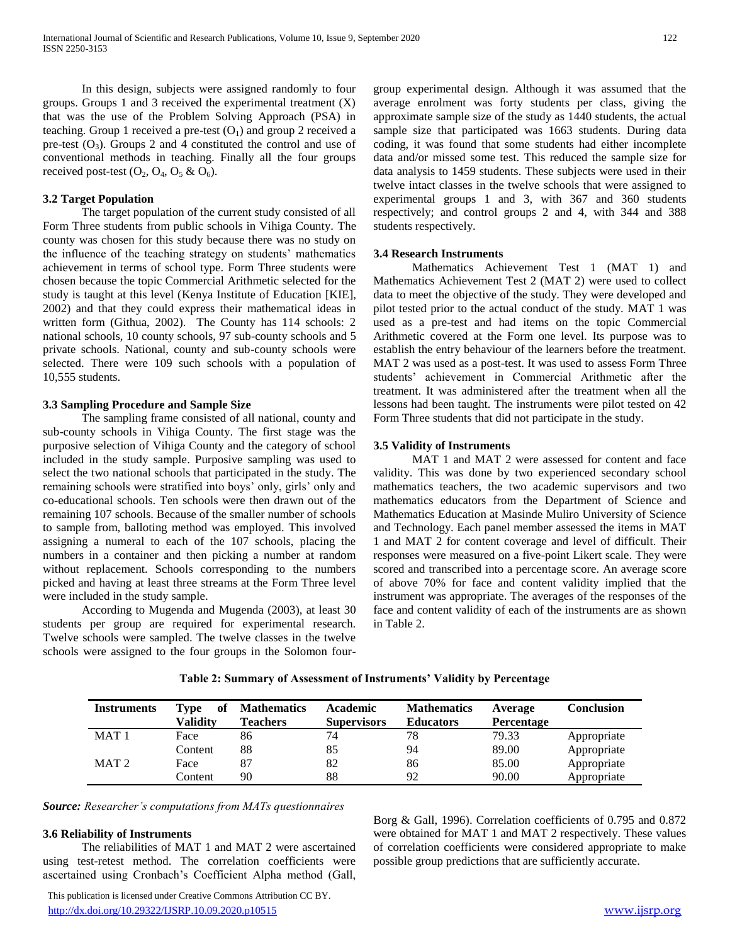In this design, subjects were assigned randomly to four groups. Groups 1 and 3 received the experimental treatment (X) that was the use of the Problem Solving Approach (PSA) in teaching. Group 1 received a pre-test  $(O<sub>1</sub>)$  and group 2 received a pre-test  $(O_3)$ . Groups 2 and 4 constituted the control and use of conventional methods in teaching. Finally all the four groups received post-test  $(O_2, O_4, O_5 \& O_6)$ .

## **3.2 Target Population**

 The target population of the current study consisted of all Form Three students from public schools in Vihiga County. The county was chosen for this study because there was no study on the influence of the teaching strategy on students' mathematics achievement in terms of school type. Form Three students were chosen because the topic Commercial Arithmetic selected for the study is taught at this level (Kenya Institute of Education [KIE], 2002) and that they could express their mathematical ideas in written form (Githua, 2002). The County has 114 schools: 2 national schools, 10 county schools, 97 sub-county schools and 5 private schools. National, county and sub-county schools were selected. There were 109 such schools with a population of 10,555 students.

#### **3.3 Sampling Procedure and Sample Size**

 The sampling frame consisted of all national, county and sub-county schools in Vihiga County. The first stage was the purposive selection of Vihiga County and the category of school included in the study sample. Purposive sampling was used to select the two national schools that participated in the study. The remaining schools were stratified into boys' only, girls' only and co-educational schools. Ten schools were then drawn out of the remaining 107 schools. Because of the smaller number of schools to sample from, balloting method was employed. This involved assigning a numeral to each of the 107 schools, placing the numbers in a container and then picking a number at random without replacement. Schools corresponding to the numbers picked and having at least three streams at the Form Three level were included in the study sample.

 According to Mugenda and Mugenda (2003), at least 30 students per group are required for experimental research. Twelve schools were sampled. The twelve classes in the twelve schools were assigned to the four groups in the Solomon fourgroup experimental design. Although it was assumed that the average enrolment was forty students per class, giving the approximate sample size of the study as 1440 students, the actual sample size that participated was 1663 students. During data coding, it was found that some students had either incomplete data and/or missed some test. This reduced the sample size for data analysis to 1459 students. These subjects were used in their twelve intact classes in the twelve schools that were assigned to experimental groups 1 and 3, with 367 and 360 students respectively; and control groups 2 and 4, with 344 and 388 students respectively.

#### **3.4 Research Instruments**

 Mathematics Achievement Test 1 (MAT 1) and Mathematics Achievement Test 2 (MAT 2) were used to collect data to meet the objective of the study. They were developed and pilot tested prior to the actual conduct of the study. MAT 1 was used as a pre-test and had items on the topic Commercial Arithmetic covered at the Form one level. Its purpose was to establish the entry behaviour of the learners before the treatment. MAT 2 was used as a post-test. It was used to assess Form Three students' achievement in Commercial Arithmetic after the treatment. It was administered after the treatment when all the lessons had been taught. The instruments were pilot tested on 42 Form Three students that did not participate in the study.

# **3.5 Validity of Instruments**

 MAT 1 and MAT 2 were assessed for content and face validity. This was done by two experienced secondary school mathematics teachers, the two academic supervisors and two mathematics educators from the Department of Science and Mathematics Education at Masinde Muliro University of Science and Technology. Each panel member assessed the items in MAT 1 and MAT 2 for content coverage and level of difficult. Their responses were measured on a five-point Likert scale. They were scored and transcribed into a percentage score. An average score of above 70% for face and content validity implied that the instrument was appropriate. The averages of the responses of the face and content validity of each of the instruments are as shown in Table 2.

| <b>Instruments</b> | of<br>Type | <b>Mathematics</b> | <b>Academic</b>    | <b>Mathematics</b> | Average    | <b>Conclusion</b> |
|--------------------|------------|--------------------|--------------------|--------------------|------------|-------------------|
|                    | Validitv   | <b>Teachers</b>    | <b>Supervisors</b> | <b>Educators</b>   | Percentage |                   |
| MAT <sub>1</sub>   | Face       | 86                 | 74                 | 78                 | 79.33      | Appropriate       |
|                    | Content    | 88                 | 85                 | 94                 | 89.00      | Appropriate       |
| MAT <sub>2</sub>   | Face       | 87                 | 82                 | 86                 | 85.00      | Appropriate       |
|                    | Content    | 90                 | 88                 | 92                 | 90.00      | Appropriate       |

## **Table 2: Summary of Assessment of Instruments' Validity by Percentage**

*Source: Researcher's computations from MATs questionnaires*

#### **3.6 Reliability of Instruments**

 The reliabilities of MAT 1 and MAT 2 were ascertained using test-retest method. The correlation coefficients were ascertained using Cronbach's Coefficient Alpha method (Gall,

 This publication is licensed under Creative Commons Attribution CC BY. <http://dx.doi.org/10.29322/IJSRP.10.09.2020.p10515> [www.ijsrp.org](http://ijsrp.org/)

Borg & Gall, 1996). Correlation coefficients of 0.795 and 0.872 were obtained for MAT 1 and MAT 2 respectively. These values of correlation coefficients were considered appropriate to make possible group predictions that are sufficiently accurate.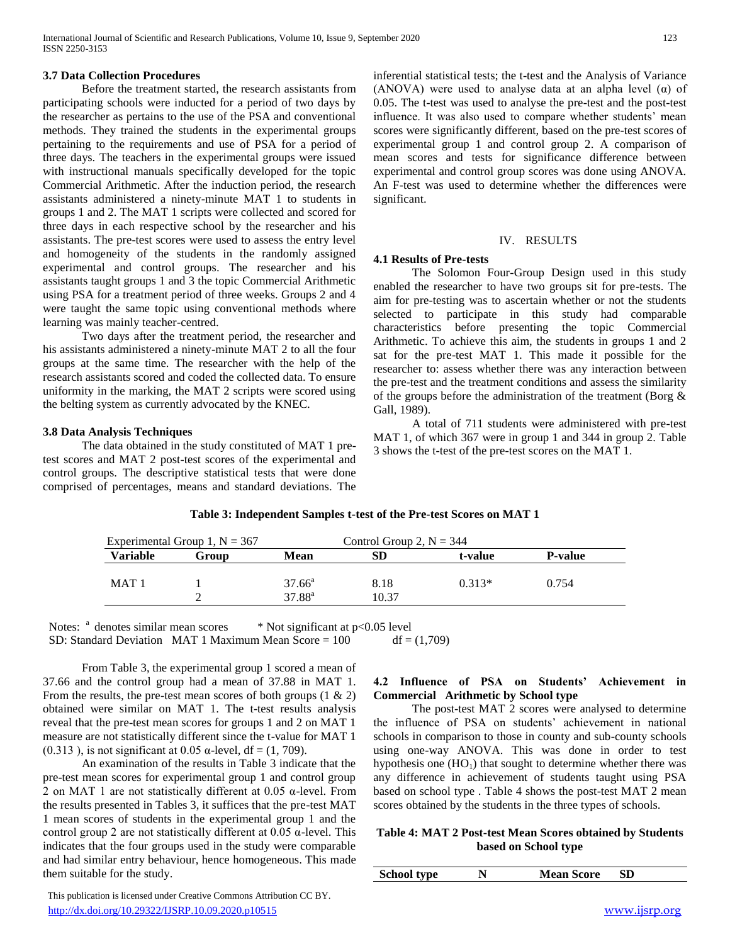## **3.7 Data Collection Procedures**

 Before the treatment started, the research assistants from participating schools were inducted for a period of two days by the researcher as pertains to the use of the PSA and conventional methods. They trained the students in the experimental groups pertaining to the requirements and use of PSA for a period of three days. The teachers in the experimental groups were issued with instructional manuals specifically developed for the topic Commercial Arithmetic. After the induction period, the research assistants administered a ninety-minute MAT 1 to students in groups 1 and 2. The MAT 1 scripts were collected and scored for three days in each respective school by the researcher and his assistants. The pre-test scores were used to assess the entry level and homogeneity of the students in the randomly assigned experimental and control groups. The researcher and his assistants taught groups 1 and 3 the topic Commercial Arithmetic using PSA for a treatment period of three weeks. Groups 2 and 4 were taught the same topic using conventional methods where learning was mainly teacher-centred.

 Two days after the treatment period, the researcher and his assistants administered a ninety-minute MAT 2 to all the four groups at the same time. The researcher with the help of the research assistants scored and coded the collected data. To ensure uniformity in the marking, the MAT 2 scripts were scored using the belting system as currently advocated by the KNEC.

# **3.8 Data Analysis Techniques**

 The data obtained in the study constituted of MAT 1 pretest scores and MAT 2 post-test scores of the experimental and control groups. The descriptive statistical tests that were done comprised of percentages, means and standard deviations. The inferential statistical tests; the t-test and the Analysis of Variance (ANOVA) were used to analyse data at an alpha level  $(\alpha)$  of 0.05. The t-test was used to analyse the pre-test and the post-test influence. It was also used to compare whether students' mean scores were significantly different, based on the pre-test scores of experimental group 1 and control group 2. A comparison of mean scores and tests for significance difference between experimental and control group scores was done using ANOVA. An F-test was used to determine whether the differences were significant.

## IV. RESULTS

## **4.1 Results of Pre-tests**

 The Solomon Four-Group Design used in this study enabled the researcher to have two groups sit for pre-tests. The aim for pre-testing was to ascertain whether or not the students selected to participate in this study had comparable characteristics before presenting the topic Commercial Arithmetic. To achieve this aim, the students in groups 1 and 2 sat for the pre-test MAT 1. This made it possible for the researcher to: assess whether there was any interaction between the pre-test and the treatment conditions and assess the similarity of the groups before the administration of the treatment (Borg & Gall, 1989).

 A total of 711 students were administered with pre-test MAT 1, of which 367 were in group 1 and 344 in group 2. Table 3 shows the t-test of the pre-test scores on the MAT 1.

|                  | Experimental Group 1, $N = 367$ |                 | Control Group 2, $N = 344$ |          |                |
|------------------|---------------------------------|-----------------|----------------------------|----------|----------------|
| <b>Variable</b>  | Group                           | <b>Mean</b>     | SD                         | t-value  | <b>P-value</b> |
| MAT <sub>1</sub> |                                 | $37.66^{\circ}$ | 8.18                       | $0.313*$ | 0.754          |
|                  |                                 | $37.88^{a}$     | 10.37                      |          |                |

## **Table 3: Independent Samples t-test of the Pre-test Scores on MAT 1**

Notes:  $a$  denotes similar mean scores  $a$  \* Not significant at p<0.05 level SD: Standard Deviation MAT 1 Maximum Mean Score =  $100$  df =  $(1,709)$ 

 From Table 3, the experimental group 1 scored a mean of 37.66 and the control group had a mean of 37.88 in MAT 1. From the results, the pre-test mean scores of both groups  $(1 \& 2)$ obtained were similar on MAT 1. The t-test results analysis reveal that the pre-test mean scores for groups 1 and 2 on MAT 1 measure are not statistically different since the t-value for MAT 1 (0.313), is not significant at 0.05  $\alpha$ -level, df = (1, 709).

 An examination of the results in Table 3 indicate that the pre-test mean scores for experimental group 1 and control group 2 on MAT 1 are not statistically different at 0.05 α-level. From the results presented in Tables 3, it suffices that the pre-test MAT 1 mean scores of students in the experimental group 1 and the control group 2 are not statistically different at  $0.05$   $\alpha$ -level. This indicates that the four groups used in the study were comparable and had similar entry behaviour, hence homogeneous. This made them suitable for the study.

 This publication is licensed under Creative Commons Attribution CC BY. <http://dx.doi.org/10.29322/IJSRP.10.09.2020.p10515> [www.ijsrp.org](http://ijsrp.org/)

# **4.2 Influence of PSA on Students' Achievement in Commercial Arithmetic by School type**

 The post-test MAT 2 scores were analysed to determine the influence of PSA on students' achievement in national schools in comparison to those in county and sub-county schools using one-way ANOVA. This was done in order to test hypothesis one  $(HO<sub>1</sub>)$  that sought to determine whether there was any difference in achievement of students taught using PSA based on school type . Table 4 shows the post-test MAT 2 mean scores obtained by the students in the three types of schools.

# **Table 4: MAT 2 Post-test Mean Scores obtained by Students based on School type**

| <b>School type</b><br><b>Mean Score</b><br>N |  |
|----------------------------------------------|--|
|----------------------------------------------|--|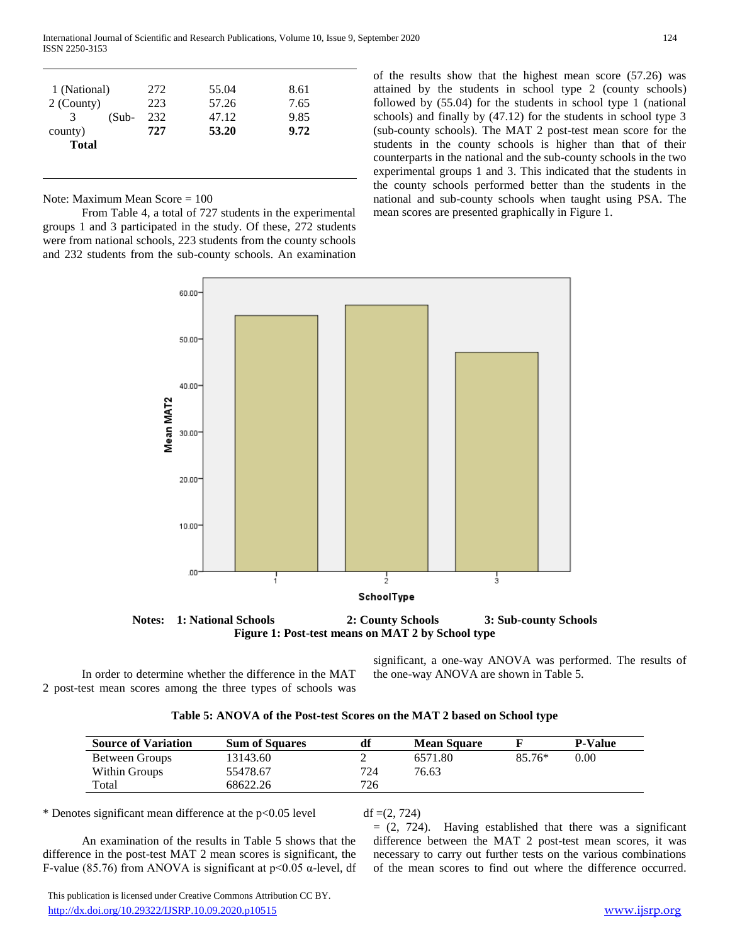| 1 (National) | 272 | 55.04 | 8.61 |
|--------------|-----|-------|------|
| 2 (County)   | 223 | 57.26 | 7.65 |
| (Sub-<br>3   | 232 | 47.12 | 9.85 |
| county)      | 727 | 53.20 | 9.72 |
| <b>Total</b> |     |       |      |

Note: Maximum Mean Score = 100

 From Table 4, a total of 727 students in the experimental groups 1 and 3 participated in the study. Of these, 272 students were from national schools, 223 students from the county schools and 232 students from the sub-county schools. An examination of the results show that the highest mean score (57.26) was attained by the students in school type 2 (county schools) followed by (55.04) for the students in school type 1 (national schools) and finally by (47.12) for the students in school type 3 (sub-county schools). The MAT 2 post-test mean score for the students in the county schools is higher than that of their counterparts in the national and the sub-county schools in the two experimental groups 1 and 3. This indicated that the students in the county schools performed better than the students in the national and sub-county schools when taught using PSA. The mean scores are presented graphically in Figure 1.



**Figure 1: Post-test means on MAT 2 by School type**

 In order to determine whether the difference in the MAT 2 post-test mean scores among the three types of schools was

significant, a one-way ANOVA was performed. The results of the one-way ANOVA are shown in Table 5.

| Table 5: ANOVA of the Post-test Scores on the MAT 2 based on School type |  |  |
|--------------------------------------------------------------------------|--|--|
|--------------------------------------------------------------------------|--|--|

| <b>Source of Variation</b> | <b>Sum of Squares</b> | df  | <b>Mean Square</b> |          | <b>P-Value</b> |
|----------------------------|-----------------------|-----|--------------------|----------|----------------|
| Between Groups             | 13143.60              |     | 6571.80            | $85.76*$ | 0.00           |
| Within Groups              | 55478.67              | 724 | 76.63              |          |                |
| Total                      | 68622.26              | 726 |                    |          |                |

\* Denotes significant mean difference at the  $p<0.05$  level df =(2, 724)

 An examination of the results in Table 5 shows that the difference in the post-test MAT 2 mean scores is significant, the F-value (85.76) from ANOVA is significant at  $p<0.05$   $\alpha$ -level, df  $= (2, 724)$ . Having established that there was a significant difference between the MAT 2 post-test mean scores, it was necessary to carry out further tests on the various combinations of the mean scores to find out where the difference occurred.

 This publication is licensed under Creative Commons Attribution CC BY. <http://dx.doi.org/10.29322/IJSRP.10.09.2020.p10515> [www.ijsrp.org](http://ijsrp.org/)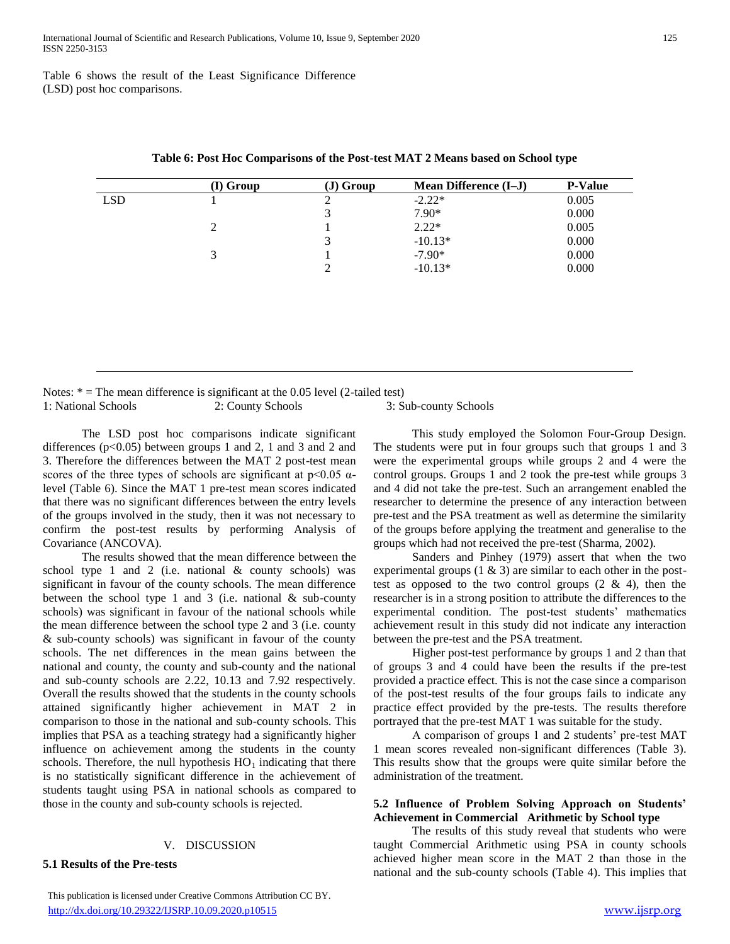Table 6 shows the result of the Least Significance Difference (LSD) post hoc comparisons.

|            | (I) Group | $J)$ Group | <b>Mean Difference (I-J)</b> | <b>P-Value</b> |
|------------|-----------|------------|------------------------------|----------------|
| <b>LSD</b> |           | ∍          | $-2.22*$                     | 0.005          |
|            |           | 3          | $7.90*$                      | 0.000          |
|            | 2         |            | $2.22*$                      | 0.005          |
|            |           | 3          | $-10.13*$                    | 0.000          |
|            | 3         |            | $-7.90*$                     | 0.000          |
|            |           | ↑          | $-10.13*$                    | 0.000          |

**Table 6: Post Hoc Comparisons of the Post-test MAT 2 Means based on School type**

Notes:  $* =$  The mean difference is significant at the 0.05 level (2-tailed test) 1: National Schools 2: County Schools 3: Sub-county Schools

 The LSD post hoc comparisons indicate significant differences  $(p<0.05)$  between groups 1 and 2, 1 and 3 and 2 and 3. Therefore the differences between the MAT 2 post-test mean scores of the three types of schools are significant at  $p<0.05$   $\alpha$ level (Table 6). Since the MAT 1 pre-test mean scores indicated that there was no significant differences between the entry levels of the groups involved in the study, then it was not necessary to confirm the post-test results by performing Analysis of Covariance (ANCOVA).

 The results showed that the mean difference between the school type 1 and 2 (i.e. national & county schools) was significant in favour of the county schools. The mean difference between the school type 1 and 3 (i.e. national  $\&$  sub-county schools) was significant in favour of the national schools while the mean difference between the school type 2 and 3 (i.e. county & sub-county schools) was significant in favour of the county schools. The net differences in the mean gains between the national and county, the county and sub-county and the national and sub-county schools are 2.22, 10.13 and 7.92 respectively. Overall the results showed that the students in the county schools attained significantly higher achievement in MAT 2 in comparison to those in the national and sub-county schools. This implies that PSA as a teaching strategy had a significantly higher influence on achievement among the students in the county schools. Therefore, the null hypothesis  $HO_1$  indicating that there is no statistically significant difference in the achievement of students taught using PSA in national schools as compared to those in the county and sub-county schools is rejected.

## V. DISCUSSION

# **5.1 Results of the Pre-tests**

 This publication is licensed under Creative Commons Attribution CC BY. <http://dx.doi.org/10.29322/IJSRP.10.09.2020.p10515> [www.ijsrp.org](http://ijsrp.org/)

 This study employed the Solomon Four-Group Design. The students were put in four groups such that groups 1 and 3 were the experimental groups while groups 2 and 4 were the control groups. Groups 1 and 2 took the pre-test while groups 3 and 4 did not take the pre-test. Such an arrangement enabled the researcher to determine the presence of any interaction between pre-test and the PSA treatment as well as determine the similarity of the groups before applying the treatment and generalise to the groups which had not received the pre-test (Sharma, 2002).

 Sanders and Pinhey (1979) assert that when the two experimental groups  $(1 \& 3)$  are similar to each other in the posttest as opposed to the two control groups  $(2 \& 4)$ , then the researcher is in a strong position to attribute the differences to the experimental condition. The post-test students' mathematics achievement result in this study did not indicate any interaction between the pre-test and the PSA treatment.

 Higher post-test performance by groups 1 and 2 than that of groups 3 and 4 could have been the results if the pre-test provided a practice effect. This is not the case since a comparison of the post-test results of the four groups fails to indicate any practice effect provided by the pre-tests. The results therefore portrayed that the pre-test MAT 1 was suitable for the study.

 A comparison of groups 1 and 2 students' pre-test MAT 1 mean scores revealed non-significant differences (Table 3). This results show that the groups were quite similar before the administration of the treatment.

## **5.2 Influence of Problem Solving Approach on Students' Achievement in Commercial Arithmetic by School type**

 The results of this study reveal that students who were taught Commercial Arithmetic using PSA in county schools achieved higher mean score in the MAT 2 than those in the national and the sub-county schools (Table 4). This implies that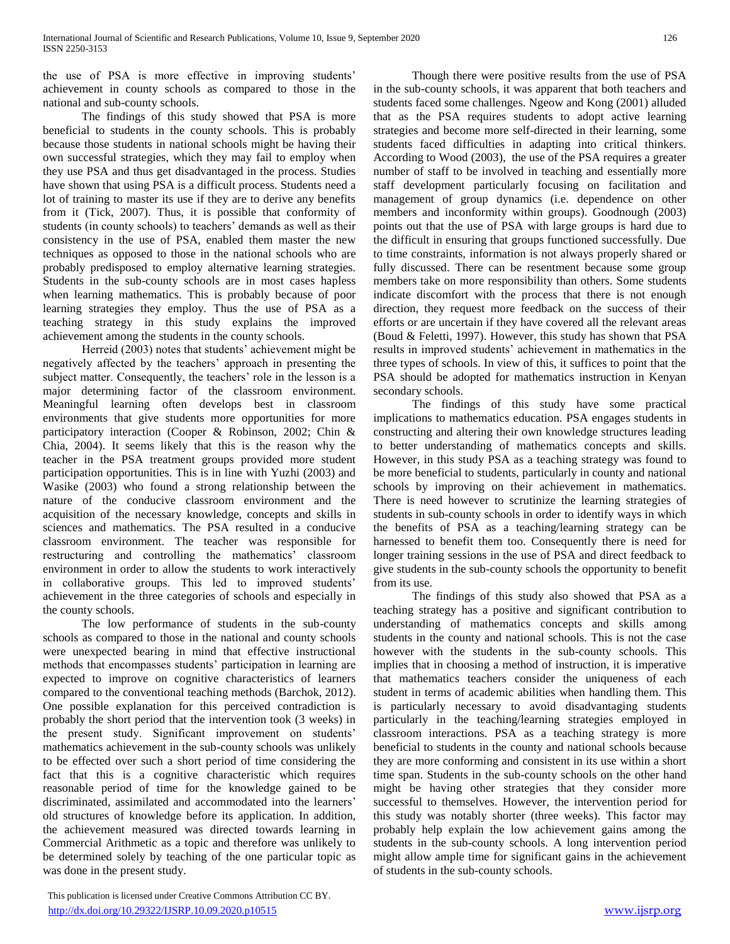the use of PSA is more effective in improving students' achievement in county schools as compared to those in the national and sub-county schools.

 The findings of this study showed that PSA is more beneficial to students in the county schools. This is probably because those students in national schools might be having their own successful strategies, which they may fail to employ when they use PSA and thus get disadvantaged in the process. Studies have shown that using PSA is a difficult process. Students need a lot of training to master its use if they are to derive any benefits from it (Tick, 2007). Thus, it is possible that conformity of students (in county schools) to teachers' demands as well as their consistency in the use of PSA, enabled them master the new techniques as opposed to those in the national schools who are probably predisposed to employ alternative learning strategies. Students in the sub-county schools are in most cases hapless when learning mathematics. This is probably because of poor learning strategies they employ. Thus the use of PSA as a teaching strategy in this study explains the improved achievement among the students in the county schools.

 Herreid (2003) notes that students' achievement might be negatively affected by the teachers' approach in presenting the subject matter. Consequently, the teachers' role in the lesson is a major determining factor of the classroom environment. Meaningful learning often develops best in classroom environments that give students more opportunities for more participatory interaction (Cooper & Robinson, 2002; Chin & Chia, 2004). It seems likely that this is the reason why the teacher in the PSA treatment groups provided more student participation opportunities. This is in line with Yuzhi (2003) and Wasike (2003) who found a strong relationship between the nature of the conducive classroom environment and the acquisition of the necessary knowledge, concepts and skills in sciences and mathematics. The PSA resulted in a conducive classroom environment. The teacher was responsible for restructuring and controlling the mathematics' classroom environment in order to allow the students to work interactively in collaborative groups. This led to improved students' achievement in the three categories of schools and especially in the county schools.

 The low performance of students in the sub-county schools as compared to those in the national and county schools were unexpected bearing in mind that effective instructional methods that encompasses students' participation in learning are expected to improve on cognitive characteristics of learners compared to the conventional teaching methods (Barchok, 2012). One possible explanation for this perceived contradiction is probably the short period that the intervention took (3 weeks) in the present study. Significant improvement on students' mathematics achievement in the sub-county schools was unlikely to be effected over such a short period of time considering the fact that this is a cognitive characteristic which requires reasonable period of time for the knowledge gained to be discriminated, assimilated and accommodated into the learners' old structures of knowledge before its application. In addition, the achievement measured was directed towards learning in Commercial Arithmetic as a topic and therefore was unlikely to be determined solely by teaching of the one particular topic as was done in the present study.

 Though there were positive results from the use of PSA in the sub-county schools, it was apparent that both teachers and students faced some challenges. Ngeow and Kong (2001) alluded that as the PSA requires students to adopt active learning strategies and become more self-directed in their learning, some students faced difficulties in adapting into critical thinkers. According to Wood (2003), the use of the PSA requires a greater number of staff to be involved in teaching and essentially more staff development particularly focusing on facilitation and management of group dynamics (i.e. dependence on other members and inconformity within groups). Goodnough (2003) points out that the use of PSA with large groups is hard due to the difficult in ensuring that groups functioned successfully. Due to time constraints, information is not always properly shared or fully discussed. There can be resentment because some group members take on more responsibility than others. Some students indicate discomfort with the process that there is not enough direction, they request more feedback on the success of their efforts or are uncertain if they have covered all the relevant areas (Boud & Feletti, 1997). However, this study has shown that PSA results in improved students' achievement in mathematics in the three types of schools. In view of this, it suffices to point that the PSA should be adopted for mathematics instruction in Kenyan secondary schools.

 The findings of this study have some practical implications to mathematics education. PSA engages students in constructing and altering their own knowledge structures leading to better understanding of mathematics concepts and skills. However, in this study PSA as a teaching strategy was found to be more beneficial to students, particularly in county and national schools by improving on their achievement in mathematics. There is need however to scrutinize the learning strategies of students in sub-county schools in order to identify ways in which the benefits of PSA as a teaching/learning strategy can be harnessed to benefit them too. Consequently there is need for longer training sessions in the use of PSA and direct feedback to give students in the sub-county schools the opportunity to benefit from its use.

 The findings of this study also showed that PSA as a teaching strategy has a positive and significant contribution to understanding of mathematics concepts and skills among students in the county and national schools. This is not the case however with the students in the sub-county schools. This implies that in choosing a method of instruction, it is imperative that mathematics teachers consider the uniqueness of each student in terms of academic abilities when handling them. This is particularly necessary to avoid disadvantaging students particularly in the teaching/learning strategies employed in classroom interactions. PSA as a teaching strategy is more beneficial to students in the county and national schools because they are more conforming and consistent in its use within a short time span. Students in the sub-county schools on the other hand might be having other strategies that they consider more successful to themselves. However, the intervention period for this study was notably shorter (three weeks). This factor may probably help explain the low achievement gains among the students in the sub-county schools. A long intervention period might allow ample time for significant gains in the achievement of students in the sub-county schools.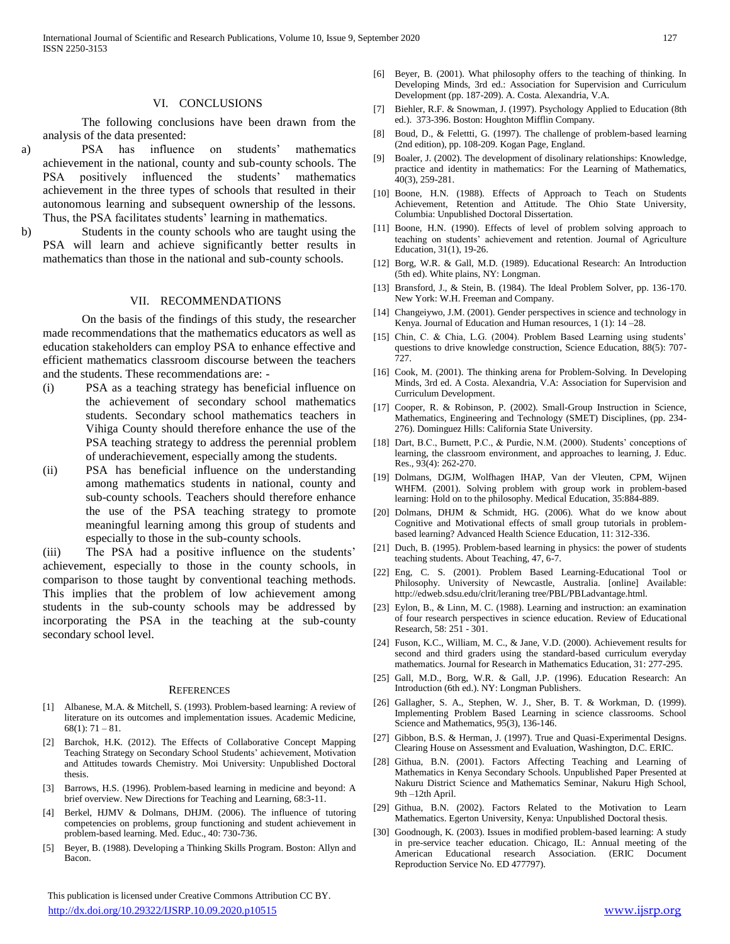## VI. CONCLUSIONS

 The following conclusions have been drawn from the analysis of the data presented:

- a) PSA has influence on students' mathematics achievement in the national, county and sub-county schools. The PSA positively influenced the students' mathematics achievement in the three types of schools that resulted in their autonomous learning and subsequent ownership of the lessons. Thus, the PSA facilitates students' learning in mathematics.
- b) Students in the county schools who are taught using the PSA will learn and achieve significantly better results in mathematics than those in the national and sub-county schools.

#### VII. RECOMMENDATIONS

 On the basis of the findings of this study, the researcher made recommendations that the mathematics educators as well as education stakeholders can employ PSA to enhance effective and efficient mathematics classroom discourse between the teachers and the students. These recommendations are: -

- (i) PSA as a teaching strategy has beneficial influence on the achievement of secondary school mathematics students. Secondary school mathematics teachers in Vihiga County should therefore enhance the use of the PSA teaching strategy to address the perennial problem of underachievement, especially among the students.
- (ii) PSA has beneficial influence on the understanding among mathematics students in national, county and sub-county schools. Teachers should therefore enhance the use of the PSA teaching strategy to promote meaningful learning among this group of students and especially to those in the sub-county schools.

(iii) The PSA had a positive influence on the students' achievement, especially to those in the county schools, in comparison to those taught by conventional teaching methods. This implies that the problem of low achievement among students in the sub-county schools may be addressed by incorporating the PSA in the teaching at the sub-county secondary school level.

#### **REFERENCES**

- [1] Albanese, M.A. & Mitchell, S. (1993). Problem-based learning: A review of literature on its outcomes and implementation issues. Academic Medicine,  $68(1)$ : 71 – 81.
- [2] Barchok, H.K. (2012). The Effects of Collaborative Concept Mapping Teaching Strategy on Secondary School Students' achievement, Motivation and Attitudes towards Chemistry. Moi University: Unpublished Doctoral thesis.
- [3] Barrows, H.S. (1996). Problem-based learning in medicine and beyond: A brief overview. New Directions for Teaching and Learning, 68:3-11.
- [4] Berkel, HJMV & Dolmans, DHJM. (2006). The influence of tutoring competencies on problems, group functioning and student achievement in problem-based learning. Med. Educ., 40: 730-736.
- [5] Beyer, B. (1988). Developing a Thinking Skills Program. Boston: Allyn and Bacon.

 This publication is licensed under Creative Commons Attribution CC BY. <http://dx.doi.org/10.29322/IJSRP.10.09.2020.p10515> [www.ijsrp.org](http://ijsrp.org/)

- [6] Beyer, B. (2001). What philosophy offers to the teaching of thinking. In Developing Minds, 3rd ed.: Association for Supervision and Curriculum Development (pp. 187-209). A. Costa. Alexandria, V.A.
- Biehler, R.F. & Snowman, J. (1997). Psychology Applied to Education (8th ed.). 373-396. Boston: Houghton Mifflin Company.
- [8] Boud, D., & Felettti, G. (1997). The challenge of problem-based learning (2nd edition), pp. 108-209. Kogan Page, England.
- [9] Boaler, J. (2002). The development of disolinary relationships: Knowledge, practice and identity in mathematics: For the Learning of Mathematics, 40(3), 259-281.
- [10] Boone, H.N. (1988). Effects of Approach to Teach on Students Achievement, Retention and Attitude. The Ohio State University, Columbia: Unpublished Doctoral Dissertation.
- [11] Boone, H.N. (1990). Effects of level of problem solving approach to teaching on students' achievement and retention. Journal of Agriculture Education, 31(1), 19-26.
- [12] Borg, W.R. & Gall, M.D. (1989). Educational Research: An Introduction (5th ed). White plains, NY: Longman.
- [13] Bransford, J., & Stein, B. (1984). The Ideal Problem Solver, pp. 136-170. New York: W.H. Freeman and Company.
- [14] Changeiywo, J.M. (2001). Gender perspectives in science and technology in Kenya. Journal of Education and Human resources, 1 (1): 14 –28.
- [15] Chin, C. & Chia, L.G. (2004). Problem Based Learning using students' questions to drive knowledge construction, Science Education, 88(5): 707- 727.
- [16] Cook, M. (2001). The thinking arena for Problem-Solving. In Developing Minds, 3rd ed. A Costa. Alexandria, V.A: Association for Supervision and Curriculum Development.
- [17] Cooper, R. & Robinson, P. (2002). Small-Group Instruction in Science, Mathematics, Engineering and Technology (SMET) Disciplines, (pp. 234- 276). Dominguez Hills: California State University.
- [18] Dart, B.C., Burnett, P.C., & Purdie, N.M. (2000). Students' conceptions of learning, the classroom environment, and approaches to learning, J. Educ. Res., 93(4): 262-270.
- [19] Dolmans, DGJM, Wolfhagen IHAP, Van der Vleuten, CPM, Wijnen WHFM. (2001). Solving problem with group work in problem-based learning: Hold on to the philosophy. Medical Education, 35:884-889.
- [20] Dolmans, DHJM & Schmidt, HG. (2006). What do we know about Cognitive and Motivational effects of small group tutorials in problembased learning? Advanced Health Science Education, 11: 312-336.
- [21] Duch, B. (1995). Problem-based learning in physics: the power of students teaching students. About Teaching, 47, 6-7.
- [22] Eng, C. S. (2001). Problem Based Learning-Educational Tool or Philosophy. University of Newcastle, Australia. [online] Available: http://edweb.sdsu.edu/clrit/leraning tree/PBL/PBLadvantage.html.
- [23] Eylon, B., & Linn, M. C. (1988). Learning and instruction: an examination of four research perspectives in science education. Review of Educational Research, 58: 251 - 301.
- [24] Fuson, K.C., William, M. C., & Jane, V.D. (2000). Achievement results for second and third graders using the standard-based curriculum everyday mathematics. Journal for Research in Mathematics Education, 31: 277-295.
- [25] Gall, M.D., Borg, W.R. & Gall, J.P. (1996). Education Research: An Introduction (6th ed.). NY: Longman Publishers.
- [26] Gallagher, S. A., Stephen, W. J., Sher, B. T. & Workman, D. (1999). Implementing Problem Based Learning in science classrooms. School Science and Mathematics, 95(3), 136-146.
- [27] Gibbon, B.S. & Herman, J. (1997). True and Quasi-Experimental Designs. Clearing House on Assessment and Evaluation, Washington, D.C. ERIC.
- [28] Githua, B.N. (2001). Factors Affecting Teaching and Learning of Mathematics in Kenya Secondary Schools. Unpublished Paper Presented at Nakuru District Science and Mathematics Seminar, Nakuru High School, 9th –12th April.
- [29] Githua, B.N. (2002). Factors Related to the Motivation to Learn Mathematics. Egerton University, Kenya: Unpublished Doctoral thesis.
- [30] Goodnough, K. (2003). Issues in modified problem-based learning: A study in pre-service teacher education. Chicago, IL: Annual meeting of the American Educational research Association. (ERIC Document Reproduction Service No. ED 477797).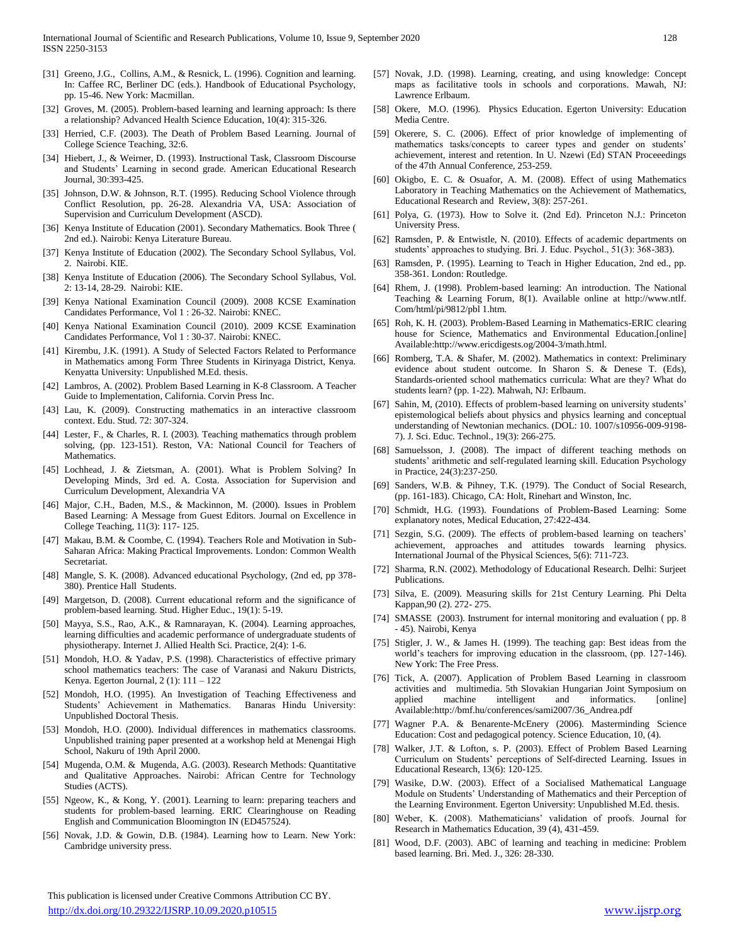- [31] Greeno, J.G., Collins, A.M., & Resnick, L. (1996). Cognition and learning. In: Caffee RC, Berliner DC (eds.). Handbook of Educational Psychology, pp. 15-46. New York: Macmillan.
- [32] Groves, M. (2005). Problem-based learning and learning approach: Is there a relationship? Advanced Health Science Education, 10(4): 315-326.
- [33] Herried, C.F. (2003). The Death of Problem Based Learning. Journal of College Science Teaching, 32:6.
- [34] Hiebert, J., & Weirner, D. (1993). Instructional Task, Classroom Discourse and Students' Learning in second grade. American Educational Research Journal, 30:393-425.
- [35] Johnson, D.W. & Johnson, R.T. (1995). Reducing School Violence through Conflict Resolution, pp. 26-28. Alexandria VA, USA: Association of Supervision and Curriculum Development (ASCD).
- [36] Kenya Institute of Education (2001). Secondary Mathematics. Book Three ( 2nd ed.). Nairobi: Kenya Literature Bureau.
- [37] Kenya Institute of Education (2002). The Secondary School Syllabus, Vol. 2. Nairobi. KIE.
- [38] Kenya Institute of Education (2006). The Secondary School Syllabus, Vol. 2: 13-14, 28-29. Nairobi: KIE.
- [39] Kenya National Examination Council (2009). 2008 KCSE Examination Candidates Performance, Vol 1 : 26-32. Nairobi: KNEC.
- [40] Kenya National Examination Council (2010). 2009 KCSE Examination Candidates Performance, Vol 1 : 30-37. Nairobi: KNEC.
- [41] Kirembu, J.K. (1991). A Study of Selected Factors Related to Performance in Mathematics among Form Three Students in Kirinyaga District, Kenya. Kenyatta University: Unpublished M.Ed. thesis.
- [42] Lambros, A. (2002). Problem Based Learning in K-8 Classroom. A Teacher Guide to Implementation, California. Corvin Press Inc.
- [43] Lau, K. (2009). Constructing mathematics in an interactive classroom context. Edu. Stud. 72: 307-324.
- [44] Lester, F., & Charles, R. I. (2003). Teaching mathematics through problem solving, (pp. 123-151). Reston, VA: National Council for Teachers of Mathematics.
- [45] Lochhead, J. & Zietsman, A. (2001). What is Problem Solving? In Developing Minds, 3rd ed. A. Costa. Association for Supervision and Curriculum Development, Alexandria VA
- [46] Major, C.H., Baden, M.S., & Mackinnon, M. (2000). Issues in Problem Based Learning: A Message from Guest Editors. Journal on Excellence in College Teaching, 11(3): 117- 125.
- [47] Makau, B.M. & Coombe, C. (1994). Teachers Role and Motivation in Sub-Saharan Africa: Making Practical Improvements. London: Common Wealth Secretariat.
- [48] Mangle, S. K. (2008). Advanced educational Psychology, (2nd ed, pp 378- 380). Prentice Hall Students.
- [49] Margetson, D. (2008). Current educational reform and the significance of problem-based learning. Stud. Higher Educ., 19(1): 5-19.
- [50] Mayya, S.S., Rao, A.K., & Ramnarayan, K. (2004). Learning approaches, learning difficulties and academic performance of undergraduate students of physiotherapy. Internet J. Allied Health Sci. Practice, 2(4): 1-6.
- [51] Mondoh, H.O. & Yadav, P.S. (1998). Characteristics of effective primary school mathematics teachers: The case of Varanasi and Nakuru Districts, Kenya. Egerton Journal, 2 (1): 111 – 122
- [52] Mondoh, H.O. (1995). An Investigation of Teaching Effectiveness and Students' Achievement in Mathematics. Banaras Hindu University: Unpublished Doctoral Thesis.
- [53] Mondoh, H.O. (2000). Individual differences in mathematics classrooms. Unpublished training paper presented at a workshop held at Menengai High School, Nakuru of 19th April 2000.
- [54] Mugenda, O.M. & Mugenda, A.G. (2003). Research Methods: Quantitative and Qualitative Approaches. Nairobi: African Centre for Technology Studies (ACTS).
- [55] Ngeow, K., & Kong, Y. (2001). Learning to learn: preparing teachers and students for problem-based learning. ERIC Clearinghouse on Reading English and Communication Bloomington IN (ED457524).
- [56] Novak, J.D. & Gowin, D.B. (1984). Learning how to Learn. New York: Cambridge university press.
- [57] Novak, J.D. (1998). Learning, creating, and using knowledge: Concept maps as facilitative tools in schools and corporations. Mawah, NJ: Lawrence Erlbaum.
- [58] Okere, M.O. (1996). Physics Education. Egerton University: Education Media Centre.
- [59] Okerere, S. C. (2006). Effect of prior knowledge of implementing of mathematics tasks/concepts to career types and gender on students' achievement, interest and retention. In U. Nzewi (Ed) STAN Proceeedings of the 47th Annual Conference, 253-259.
- [60] Okigbo, E. C. & Osuafor, A. M. (2008). Effect of using Mathematics Laboratory in Teaching Mathematics on the Achievement of Mathematics, Educational Research and Review, 3(8): 257-261.
- [61] Polya, G. (1973). How to Solve it. (2nd Ed). Princeton N.J.: Princeton University Press.
- [62] Ramsden, P. & Entwistle, N. (2010). Effects of academic departments on students' approaches to studying. Bri. J. Educ. Psychol., 51(3): 368-383).
- [63] Ramsden, P. (1995). Learning to Teach in Higher Education, 2nd ed., pp. 358-361. London: Routledge.
- [64] Rhem, J. (1998). Problem-based learning: An introduction. The National Teaching & Learning Forum, 8(1). Available online at http://www.ntlf. Com/html/pi/9812/pbl 1.htm.
- [65] Roh, K. H. (2003). Problem-Based Learning in Mathematics-ERIC clearing house for Science, Mathematics and Environmental Education.[online] Available:http://www.ericdigests.og/2004-3/math.html.
- [66] Romberg, T.A. & Shafer, M. (2002). Mathematics in context: Preliminary evidence about student outcome. In Sharon S. & Denese T. (Eds), Standards-oriented school mathematics curricula: What are they? What do students learn? (pp. 1-22). Mahwah, NJ: Erlbaum.
- [67] Sahin, M, (2010). Effects of problem-based learning on university students' epistemological beliefs about physics and physics learning and conceptual understanding of Newtonian mechanics. (DOL: 10. 1007/s10956-009-9198- 7). J. Sci. Educ. Technol., 19(3): 266-275.
- [68] Samuelsson, J. (2008). The impact of different teaching methods on students' arithmetic and self-regulated learning skill. Education Psychology in Practice, 24(3):237-250.
- [69] Sanders, W.B. & Pihney, T.K. (1979). The Conduct of Social Research, (pp. 161-183). Chicago, CA: Holt, Rinehart and Winston, Inc.
- [70] Schmidt, H.G. (1993). Foundations of Problem-Based Learning: Some explanatory notes, Medical Education, 27:422-434.
- [71] Sezgin, S.G. (2009). The effects of problem-based learning on teachers' achievement, approaches and attitudes towards learning physics. International Journal of the Physical Sciences, 5(6): 711-723.
- [72] Sharma, R.N. (2002). Methodology of Educational Research. Delhi: Surjeet Publications.
- [73] Silva, E. (2009). Measuring skills for 21st Century Learning. Phi Delta Kappan,90 (2). 272- 275.
- [74] SMASSE (2003). Instrument for internal monitoring and evaluation ( pp. 8 - 45). Nairobi, Kenya
- [75] Stigler, J. W., & James H. (1999). The teaching gap: Best ideas from the world's teachers for improving education in the classroom, (pp. 127-146). New York: The Free Press.
- [76] Tick, A. (2007). Application of Problem Based Learning in classroom activities and multimedia. 5th Slovakian Hungarian Joint Symposium on applied machine intelligent and informatics. [online] Available:http://bmf.hu/conferences/sami2007/36\_Andrea.pdf
- [77] Wagner P.A. & Benarente-McEnery (2006). Masterminding Science Education: Cost and pedagogical potency. Science Education, 10, (4).
- [78] Walker, J.T. & Lofton, s. P. (2003). Effect of Problem Based Learning Curriculum on Students' perceptions of Self-directed Learning. Issues in Educational Research, 13(6): 120-125.
- [79] Wasike, D.W. (2003). Effect of a Socialised Mathematical Language Module on Students' Understanding of Mathematics and their Perception of the Learning Environment. Egerton University: Unpublished M.Ed. thesis.
- [80] Weber, K. (2008). Mathematicians' validation of proofs. Journal for Research in Mathematics Education, 39 (4), 431-459.
- [81] Wood, D.F. (2003). ABC of learning and teaching in medicine: Problem based learning. Bri. Med. J., 326: 28-330.